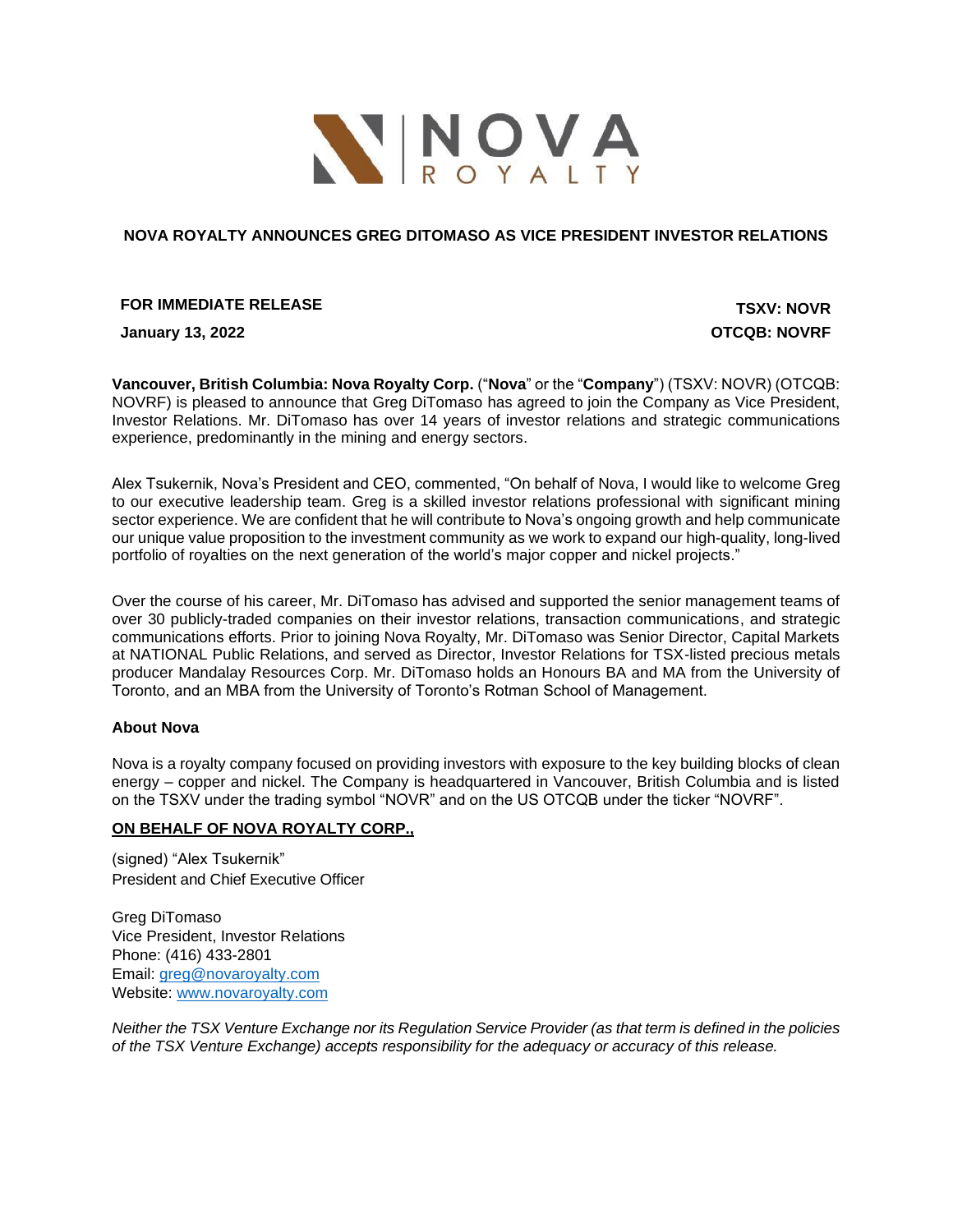

### **NOVA ROYALTY ANNOUNCES GREG DITOMASO AS VICE PRESIDENT INVESTOR RELATIONS**

# **FOR IMMEDIATE RELEASE TSXV: NOVR**

**January 13, 2022 OTCQB: NOVRF**

**Vancouver, British Columbia: Nova Royalty Corp.** ("**Nova**" or the "**Company**") (TSXV: NOVR) (OTCQB: NOVRF) is pleased to announce that Greg DiTomaso has agreed to join the Company as Vice President, Investor Relations. Mr. DiTomaso has over 14 years of investor relations and strategic communications experience, predominantly in the mining and energy sectors.

Alex Tsukernik, Nova's President and CEO, commented, "On behalf of Nova, I would like to welcome Greg to our executive leadership team. Greg is a skilled investor relations professional with significant mining sector experience. We are confident that he will contribute to Nova's ongoing growth and help communicate our unique value proposition to the investment community as we work to expand our high-quality, long-lived portfolio of royalties on the next generation of the world's major copper and nickel projects."

Over the course of his career, Mr. DiTomaso has advised and supported the senior management teams of over 30 publicly-traded companies on their investor relations, transaction communications, and strategic communications efforts. Prior to joining Nova Royalty, Mr. DiTomaso was Senior Director, Capital Markets at NATIONAL Public Relations, and served as Director, Investor Relations for TSX-listed precious metals producer Mandalay Resources Corp. Mr. DiTomaso holds an Honours BA and MA from the University of Toronto, and an MBA from the University of Toronto's Rotman School of Management.

#### **About Nova**

Nova is a royalty company focused on providing investors with exposure to the key building blocks of clean energy – copper and nickel. The Company is headquartered in Vancouver, British Columbia and is listed on the TSXV under the trading symbol "NOVR" and on the US OTCQB under the ticker "NOVRF".

### **ON BEHALF OF NOVA ROYALTY CORP.,**

(signed) "Alex Tsukernik" President and Chief Executive Officer

Greg DiTomaso Vice President, Investor Relations Phone: (416) 433-2801 Email: [greg@novaroyalty.com](mailto:greg@novaroyalty.com) Website: [www.novaroyalty.com](http://www.novaroyalty.com/)

*Neither the TSX Venture Exchange nor its Regulation Service Provider (as that term is defined in the policies of the TSX Venture Exchange) accepts responsibility for the adequacy or accuracy of this release.*